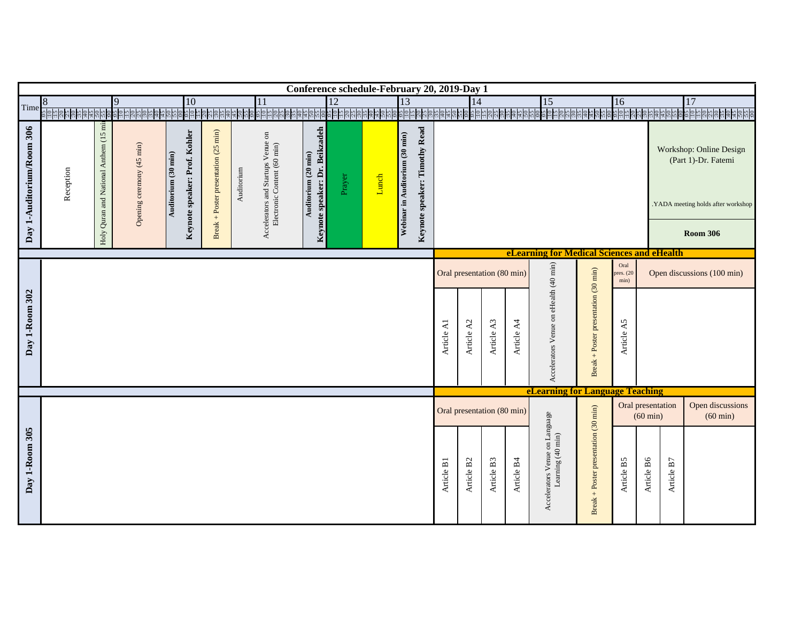| Time                      |                                                                                                                                                                                       |                                        |                                                                                                                                                                                                                                                                                                                                                                                                                                                                                                                                                                                                                                                                                                                                                                                                                                                                                                                                                                                                                                                                                                                                                                                                                                                                                                                                         |  | 10 |  |  | 11 |                  |  |  |  |  |  | 15 | 16 |  | 17 |
|---------------------------|---------------------------------------------------------------------------------------------------------------------------------------------------------------------------------------|----------------------------------------|-----------------------------------------------------------------------------------------------------------------------------------------------------------------------------------------------------------------------------------------------------------------------------------------------------------------------------------------------------------------------------------------------------------------------------------------------------------------------------------------------------------------------------------------------------------------------------------------------------------------------------------------------------------------------------------------------------------------------------------------------------------------------------------------------------------------------------------------------------------------------------------------------------------------------------------------------------------------------------------------------------------------------------------------------------------------------------------------------------------------------------------------------------------------------------------------------------------------------------------------------------------------------------------------------------------------------------------------|--|----|--|--|----|------------------|--|--|--|--|--|----|----|--|----|
|                           |                                                                                                                                                                                       |                                        |                                                                                                                                                                                                                                                                                                                                                                                                                                                                                                                                                                                                                                                                                                                                                                                                                                                                                                                                                                                                                                                                                                                                                                                                                                                                                                                                         |  |    |  |  |    |                  |  |  |  |  |  |    |    |  |    |
| Day 1-Auditorium/Room 306 | Reception                                                                                                                                                                             | Holy Quran and National Anthem (15 min | Conference schedule-February 20, 2019-Day 1<br>$\overline{12}$<br>13<br>9<br>14<br><u> ସ୍ମାଧ୍ୟ ସ୍ଥାନ ସୁକାର୍ଯ୍ୟ ସ୍ଥାନ ସୁକାର୍ଯ୍ୟ ସ୍ଥାନ ସୁକାର୍</u><br>$\frac{92}{512}$<br><u>ន់ដឹងខ្ញុំពីម៉ូម៉ូម៉ូម៉ូម៉ូម៉ូខ្ញុំដូនដូច្នៃម៉ូម៉ូម៉ូម៉ូម៉ូម៉ូ</u><br><u> គូដូន្ទ្រីន្ទ្រីន្ទ្រីន្ទ្រីន្ទ្រី គូដូន្ទ្រីន្ទ្រីន្ទ្រីន្ទ្រីន្ទ្រី គូដូន្ទ្រីន្ទ្រីន្ទ្រីន្ទ្រីដូន្ទ្រីន្</u> ទ្រី<br><u>និងទីនិងទី២</u><br>និងទី២<br>Keynote speaker: Timothy Read<br>Keynote speaker: Dr. Beikzadeh<br>Break + Poster presentation (25 min)<br>Keynote speaker: Prof. Kohler<br>Accelerators and Startups Venue on<br>Electronic Content (60 min)<br>Webinar in Auditorium (30 min)<br>Opening ceremony (45 min)<br>Workshop: Online Design<br>Auditorium (20 min)<br>Auditorium (30 min)<br>(Part 1)-Dr. Fatemi<br>Auditorium<br>Prayer<br>Lunch<br><b>Room 306</b><br>eLearning for Medical Sciences and eHealth<br>Accelerators Venue on eHealth (40 min)<br>Oral<br>Break + Poster presentation (30 min)<br>Oral presentation (80 min)<br>res. (20<br>min)<br>Article A3<br>Article A4<br>Article A5<br>Article A1<br>Article A2<br>eLearning for Language Teaching<br>Oral presentation<br>Oral presentation (80 min)<br>$(60 \text{ min})$<br>Article B6<br>Article B3<br>Article B4<br>Article B5<br>Article B1<br>Article B <sub>2</sub><br>Article B7 |  |    |  |  |    |                  |  |  |  |  |  |    |    |  |    |
| Day 1-Room 302            |                                                                                                                                                                                       |                                        |                                                                                                                                                                                                                                                                                                                                                                                                                                                                                                                                                                                                                                                                                                                                                                                                                                                                                                                                                                                                                                                                                                                                                                                                                                                                                                                                         |  |    |  |  |    |                  |  |  |  |  |  |    |    |  |    |
|                           |                                                                                                                                                                                       |                                        |                                                                                                                                                                                                                                                                                                                                                                                                                                                                                                                                                                                                                                                                                                                                                                                                                                                                                                                                                                                                                                                                                                                                                                                                                                                                                                                                         |  |    |  |  |    |                  |  |  |  |  |  |    |    |  |    |
|                           |                                                                                                                                                                                       |                                        |                                                                                                                                                                                                                                                                                                                                                                                                                                                                                                                                                                                                                                                                                                                                                                                                                                                                                                                                                                                                                                                                                                                                                                                                                                                                                                                                         |  |    |  |  |    |                  |  |  |  |  |  |    |    |  |    |
|                           |                                                                                                                                                                                       |                                        |                                                                                                                                                                                                                                                                                                                                                                                                                                                                                                                                                                                                                                                                                                                                                                                                                                                                                                                                                                                                                                                                                                                                                                                                                                                                                                                                         |  |    |  |  |    |                  |  |  |  |  |  |    |    |  |    |
|                           | .YADA meeting holds after workshop<br>Open discussions (100 min)<br>Break + Poster presentation (30 min)<br>Accelerators Venue on Language<br>Learning (40 min)<br>$(60 \text{ min})$ |                                        |                                                                                                                                                                                                                                                                                                                                                                                                                                                                                                                                                                                                                                                                                                                                                                                                                                                                                                                                                                                                                                                                                                                                                                                                                                                                                                                                         |  |    |  |  |    | Open discussions |  |  |  |  |  |    |    |  |    |
| Day 1-Room 305            |                                                                                                                                                                                       |                                        |                                                                                                                                                                                                                                                                                                                                                                                                                                                                                                                                                                                                                                                                                                                                                                                                                                                                                                                                                                                                                                                                                                                                                                                                                                                                                                                                         |  |    |  |  |    |                  |  |  |  |  |  |    |    |  |    |